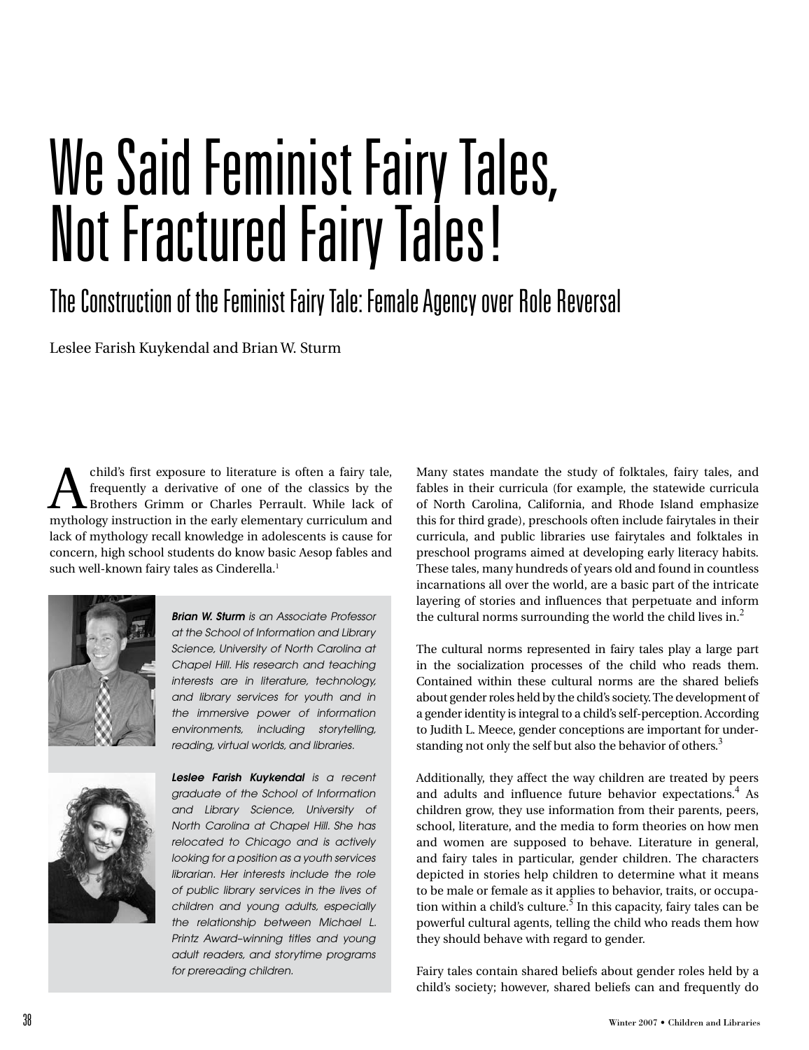## We Said Feminist Fairy Tales, Not Fractured Fairy Tales!

## The Construction of the Feminist Fairy Tale: Female Agency over Role Reversal

Leslee Farish Kuykendal and Brian W. Sturm

child's first exposure to literature is often a fairy tale, frequently a derivative of one of the classics by the Brothers Grimm or Charles Perrault. While lack of mythology instruction in the early elementary curriculum a frequently a derivative of one of the classics by the mythology instruction in the early elementary curriculum and lack of mythology recall knowledge in adolescents is cause for concern, high school students do know basic Aesop fables and such well-known fairy tales as Cinderella.<sup>1</sup>



*Brian W. Sturm is an Associate Professor at the School of Information and Library Science, University of North Carolina at Chapel Hill. His research and teaching interests are in literature, technology, and library services for youth and in the immersive power of information environments, including storytelling, reading, virtual worlds, and libraries.*



*Leslee Farish Kuykendal is a recent graduate of the School of Information and Library Science, University of North Carolina at Chapel Hill. She has relocated to Chicago and is actively looking for a position as a youth services librarian. Her interests include the role of public library services in the lives of children and young adults, especially the relationship between Michael L. Printz Award–winning titles and young adult readers, and storytime programs for prereading children.*

Many states mandate the study of folktales, fairy tales, and fables in their curricula (for example, the statewide curricula of North Carolina, California, and Rhode Island emphasize this for third grade), preschools often include fairytales in their curricula, and public libraries use fairytales and folktales in preschool programs aimed at developing early literacy habits. These tales, many hundreds of years old and found in countless incarnations all over the world, are a basic part of the intricate layering of stories and influences that perpetuate and inform the cultural norms surrounding the world the child lives in. $<sup>2</sup>$ </sup>

The cultural norms represented in fairy tales play a large part in the socialization processes of the child who reads them. Contained within these cultural norms are the shared beliefs about gender roles held by the child's society. The development of a gender identity is integral to a child's self-perception. According to Judith L. Meece, gender conceptions are important for understanding not only the self but also the behavior of others.<sup>3</sup>

Additionally, they affect the way children are treated by peers and adults and influence future behavior expectations.<sup>4</sup> As children grow, they use information from their parents, peers, school, literature, and the media to form theories on how men and women are supposed to behave. Literature in general, and fairy tales in particular, gender children. The characters depicted in stories help children to determine what it means to be male or female as it applies to behavior, traits, or occupation within a child's culture. $^5$  In this capacity, fairy tales can be powerful cultural agents, telling the child who reads them how they should behave with regard to gender.

Fairy tales contain shared beliefs about gender roles held by a child's society; however, shared beliefs can and frequently do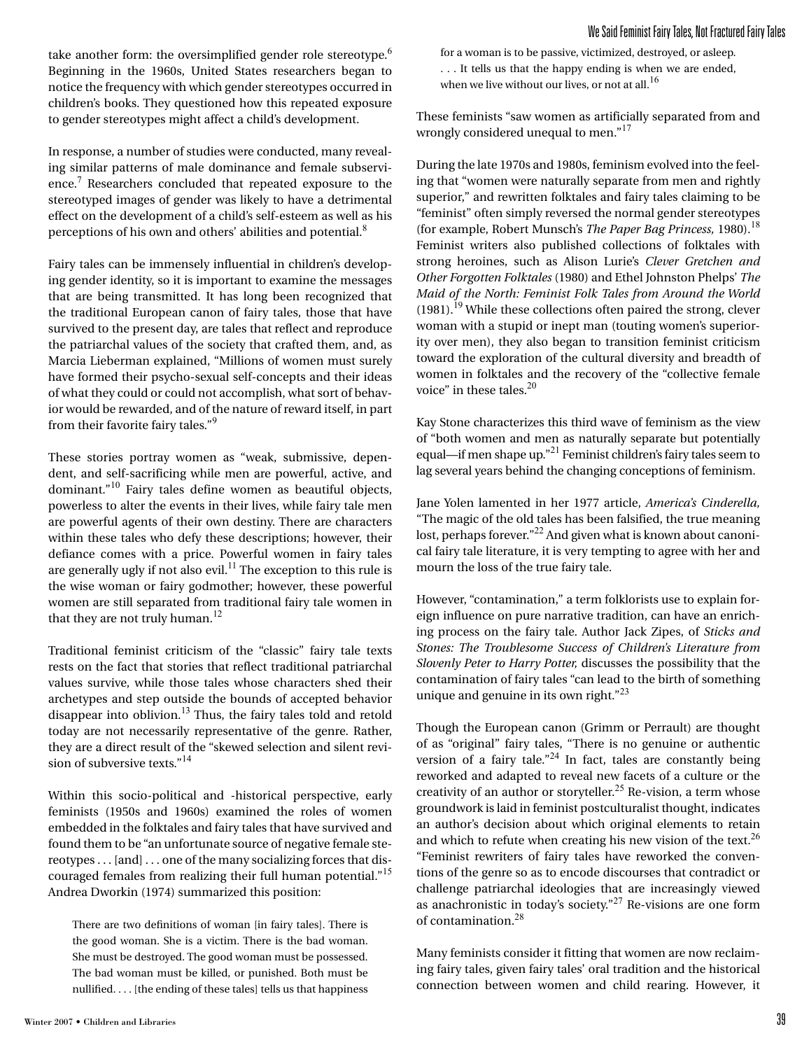take another form: the oversimplified gender role stereotype.<sup>6</sup> Beginning in the 1960s, United States researchers began to notice the frequency with which gender stereotypes occurred in children's books. They questioned how this repeated exposure to gender stereotypes might affect a child's development.

In response, a number of studies were conducted, many revealing similar patterns of male dominance and female subservience.<sup>7</sup> Researchers concluded that repeated exposure to the stereotyped images of gender was likely to have a detrimental effect on the development of a child's self-esteem as well as his perceptions of his own and others' abilities and potential.<sup>8</sup>

Fairy tales can be immensely influential in children's developing gender identity, so it is important to examine the messages that are being transmitted. It has long been recognized that the traditional European canon of fairy tales, those that have survived to the present day, are tales that reflect and reproduce the patriarchal values of the society that crafted them, and, as Marcia Lieberman explained, "Millions of women must surely have formed their psycho-sexual self-concepts and their ideas of what they could or could not accomplish, what sort of behavior would be rewarded, and of the nature of reward itself, in part from their favorite fairy tales."<sup>9</sup>

These stories portray women as "weak, submissive, dependent, and self-sacrificing while men are powerful, active, and dominant."10 Fairy tales define women as beautiful objects, powerless to alter the events in their lives, while fairy tale men are powerful agents of their own destiny. There are characters within these tales who defy these descriptions; however, their defiance comes with a price. Powerful women in fairy tales are generally ugly if not also evil.<sup>11</sup> The exception to this rule is the wise woman or fairy godmother; however, these powerful women are still separated from traditional fairy tale women in that they are not truly human.<sup>12</sup>

Traditional feminist criticism of the "classic" fairy tale texts rests on the fact that stories that reflect traditional patriarchal values survive, while those tales whose characters shed their archetypes and step outside the bounds of accepted behavior disappear into oblivion.13 Thus, the fairy tales told and retold today are not necessarily representative of the genre. Rather, they are a direct result of the "skewed selection and silent revision of subversive texts."<sup>14</sup>

Within this socio-political and -historical perspective, early feminists (1950s and 1960s) examined the roles of women embedded in the folktales and fairy tales that have survived and found them to be "an unfortunate source of negative female stereotypes . . . [and] . . . one of the many socializing forces that discouraged females from realizing their full human potential."<sup>15</sup> Andrea Dworkin (1974) summarized this position:

There are two definitions of woman [in fairy tales]. There is the good woman. She is a victim. There is the bad woman. She must be destroyed. The good woman must be possessed. The bad woman must be killed, or punished. Both must be nullified. . . . [the ending of these tales] tells us that happiness for a woman is to be passive, victimized, destroyed, or asleep. . . . It tells us that the happy ending is when we are ended, when we live without our lives, or not at all.<sup>16</sup>

These feminists "saw women as artificially separated from and wrongly considered unequal to men."<sup>17</sup>

During the late 1970s and 1980s, feminism evolved into the feeling that "women were naturally separate from men and rightly superior," and rewritten folktales and fairy tales claiming to be "feminist" often simply reversed the normal gender stereotypes (for example, Robert Munsch's *The Paper Bag Princess*, 1980).<sup>18</sup> Feminist writers also published collections of folktales with strong heroines, such as Alison Lurie's *Clever Gretchen and Other Forgotten Folktales* (1980) and Ethel Johnston Phelps' *The Maid of the North: Feminist Folk Tales from Around the World*  $(1981).$ <sup>19</sup> While these collections often paired the strong, clever woman with a stupid or inept man (touting women's superiority over men), they also began to transition feminist criticism toward the exploration of the cultural diversity and breadth of women in folktales and the recovery of the "collective female voice" in these tales. $^{20}$ 

Kay Stone characterizes this third wave of feminism as the view of "both women and men as naturally separate but potentially equal—if men shape up."21 Feminist children's fairy tales seem to lag several years behind the changing conceptions of feminism.

Jane Yolen lamented in her 1977 article, *America's Cinderella,* "The magic of the old tales has been falsified, the true meaning lost, perhaps forever."<sup>22</sup> And given what is known about canonical fairy tale literature, it is very tempting to agree with her and mourn the loss of the true fairy tale.

However, "contamination," a term folklorists use to explain foreign influence on pure narrative tradition, can have an enriching process on the fairy tale. Author Jack Zipes, of *Sticks and Stones: The Troublesome Success of Children's Literature from Slovenly Peter to Harry Potter,* discusses the possibility that the contamination of fairy tales "can lead to the birth of something unique and genuine in its own right. $123$ 

Though the European canon (Grimm or Perrault) are thought of as "original" fairy tales, "There is no genuine or authentic version of a fairy tale."<sup>24</sup> In fact, tales are constantly being reworked and adapted to reveal new facets of a culture or the creativity of an author or storyteller.<sup>25</sup> Re-vision, a term whose groundwork is laid in feminist postculturalist thought, indicates an author's decision about which original elements to retain and which to refute when creating his new vision of the text. $^{26}$ "Feminist rewriters of fairy tales have reworked the conventions of the genre so as to encode discourses that contradict or challenge patriarchal ideologies that are increasingly viewed as anachronistic in today's society."27 Re-visions are one form of contamination.<sup>28</sup>

Many feminists consider it fitting that women are now reclaiming fairy tales, given fairy tales' oral tradition and the historical connection between women and child rearing. However, it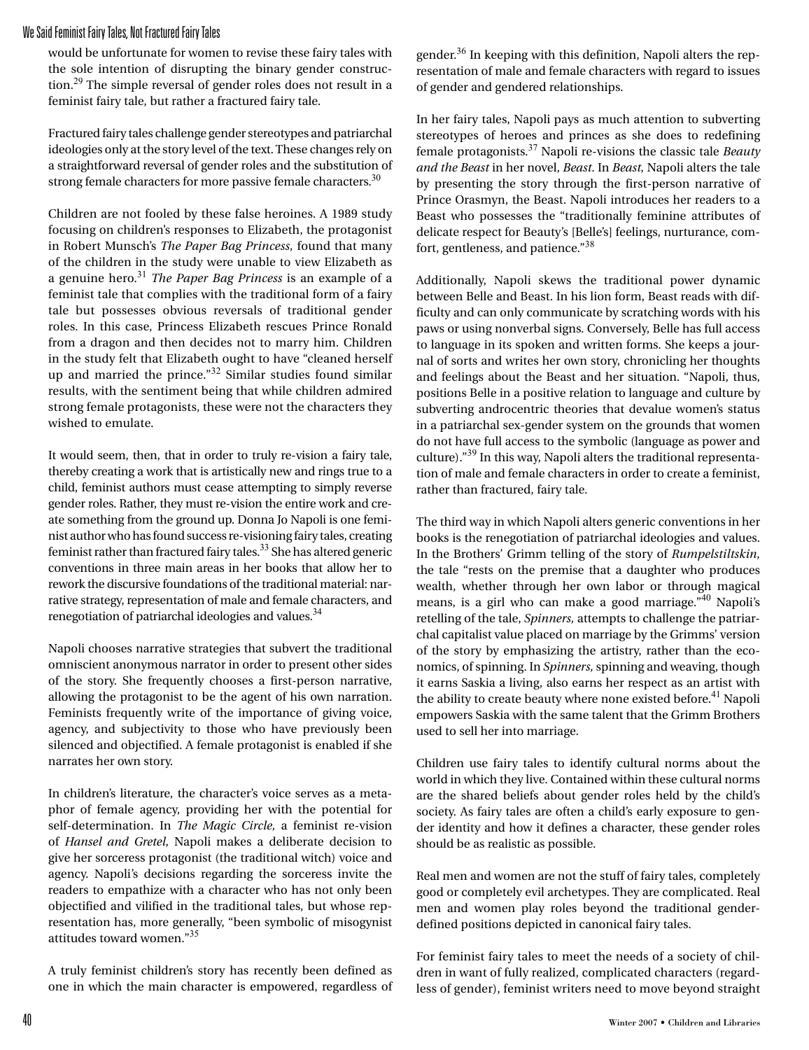## We Said Feminist Fairy Tales, Not Fractured Fairy Tales

would be unfortunate for women to revise these fairy tales with the sole intention of disrupting the binary gender construction.<sup>29</sup> The simple reversal of gender roles does not result in a feminist fairy tale, but rather a fractured fairy tale.

Fractured fairy tales challenge gender stereotypes and patriarchal ideologies only at the story level of the text. These changes rely on a straightforward reversal of gender roles and the substitution of strong female characters for more passive female characters. $30$ 

Children are not fooled by these false heroines. A 1989 study focusing on children's responses to Elizabeth, the protagonist in Robert Munsch's *The Paper Bag Princess,* found that many of the children in the study were unable to view Elizabeth as a genuine hero.<sup>31</sup> *The Paper Bag Princess* is an example of a feminist tale that complies with the traditional form of a fairy tale but possesses obvious reversals of traditional gender roles. In this case, Princess Elizabeth rescues Prince Ronald from a dragon and then decides not to marry him. Children in the study felt that Elizabeth ought to have "cleaned herself up and married the prince."32 Similar studies found similar results, with the sentiment being that while children admired strong female protagonists, these were not the characters they wished to emulate.

It would seem, then, that in order to truly re-vision a fairy tale, thereby creating a work that is artistically new and rings true to a child, feminist authors must cease attempting to simply reverse gender roles. Rather, they must re-vision the entire work and create something from the ground up. Donna Jo Napoli is one feminist author who has found success re-visioning fairy tales, creating feminist rather than fractured fairy tales. $33$  She has altered generic conventions in three main areas in her books that allow her to rework the discursive foundations of the traditional material: narrative strategy, representation of male and female characters, and renegotiation of patriarchal ideologies and values.<sup>34</sup>

Napoli chooses narrative strategies that subvert the traditional omniscient anonymous narrator in order to present other sides of the story. She frequently chooses a first-person narrative, allowing the protagonist to be the agent of his own narration. Feminists frequently write of the importance of giving voice, agency, and subjectivity to those who have previously been silenced and objectified. A female protagonist is enabled if she narrates her own story.

In children's literature, the character's voice serves as a metaphor of female agency, providing her with the potential for self-determination. In *The Magic Circle,* a feminist re-vision of *Hansel and Gretel,* Napoli makes a deliberate decision to give her sorceress protagonist (the traditional witch) voice and agency. Napoli's decisions regarding the sorceress invite the readers to empathize with a character who has not only been objectified and vilified in the traditional tales, but whose representation has, more generally, "been symbolic of misogynist attitudes toward women."<sup>35</sup>

A truly feminist children's story has recently been defined as one in which the main character is empowered, regardless of gender.36 In keeping with this definition, Napoli alters the representation of male and female characters with regard to issues of gender and gendered relationships.

In her fairy tales, Napoli pays as much attention to subverting stereotypes of heroes and princes as she does to redefining female protagonists.37 Napoli re-visions the classic tale *Beauty and the Beast* in her novel, *Beast*. In *Beast,* Napoli alters the tale by presenting the story through the first-person narrative of Prince Orasmyn, the Beast. Napoli introduces her readers to a Beast who possesses the "traditionally feminine attributes of delicate respect for Beauty's [Belle's] feelings, nurturance, comfort, gentleness, and patience."<sup>38</sup>

Additionally, Napoli skews the traditional power dynamic between Belle and Beast. In his lion form, Beast reads with difficulty and can only communicate by scratching words with his paws or using nonverbal signs. Conversely, Belle has full access to language in its spoken and written forms. She keeps a journal of sorts and writes her own story, chronicling her thoughts and feelings about the Beast and her situation. "Napoli, thus, positions Belle in a positive relation to language and culture by subverting androcentric theories that devalue women's status in a patriarchal sex-gender system on the grounds that women do not have full access to the symbolic (language as power and culture)."39 In this way, Napoli alters the traditional representation of male and female characters in order to create a feminist, rather than fractured, fairy tale.

The third way in which Napoli alters generic conventions in her books is the renegotiation of patriarchal ideologies and values. In the Brothers' Grimm telling of the story of *Rumpelstiltskin,* the tale "rests on the premise that a daughter who produces wealth, whether through her own labor or through magical means, is a girl who can make a good marriage."40 Napoli's retelling of the tale, *Spinners,* attempts to challenge the patriarchal capitalist value placed on marriage by the Grimms' version of the story by emphasizing the artistry, rather than the economics, of spinning. In *Spinners,* spinning and weaving, though it earns Saskia a living, also earns her respect as an artist with the ability to create beauty where none existed before.<sup>41</sup> Napoli empowers Saskia with the same talent that the Grimm Brothers used to sell her into marriage.

Children use fairy tales to identify cultural norms about the world in which they live. Contained within these cultural norms are the shared beliefs about gender roles held by the child's society. As fairy tales are often a child's early exposure to gender identity and how it defines a character, these gender roles should be as realistic as possible.

Real men and women are not the stuff of fairy tales, completely good or completely evil archetypes. They are complicated. Real men and women play roles beyond the traditional genderdefined positions depicted in canonical fairy tales.

For feminist fairy tales to meet the needs of a society of children in want of fully realized, complicated characters (regardless of gender), feminist writers need to move beyond straight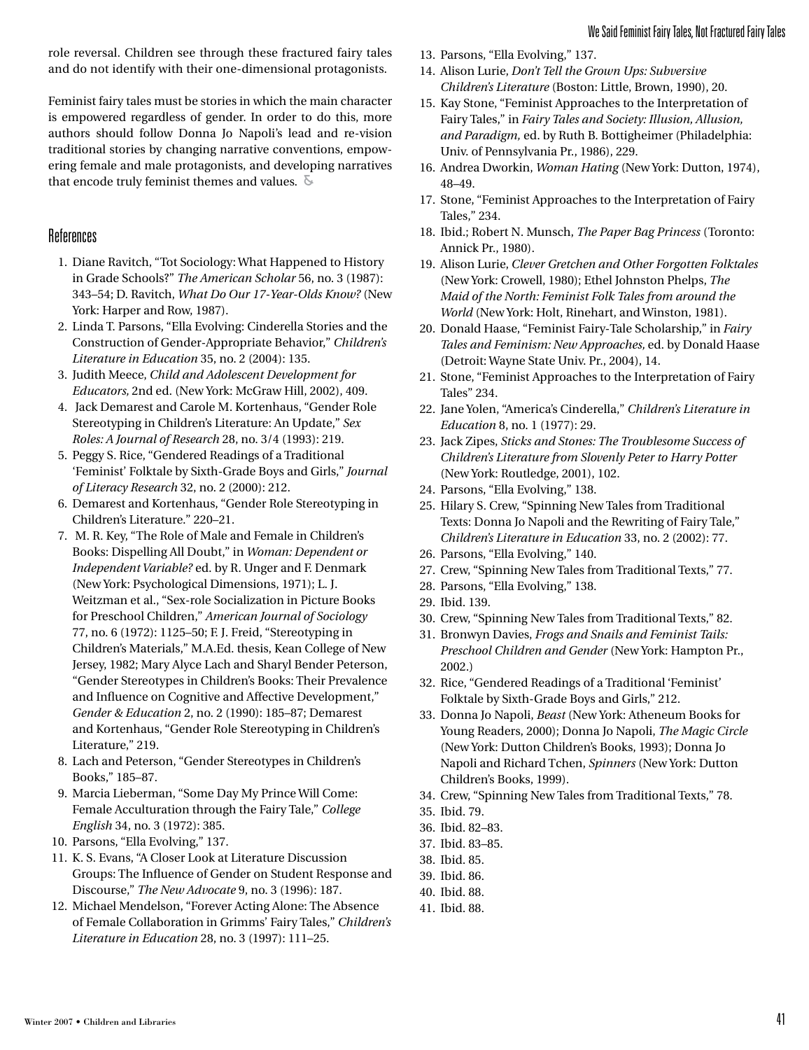role reversal. Children see through these fractured fairy tales and do not identify with their one-dimensional protagonists.

Feminist fairy tales must be stories in which the main character is empowered regardless of gender. In order to do this, more authors should follow Donna Jo Napoli's lead and re-vision traditional stories by changing narrative conventions, empowering female and male protagonists, and developing narratives that encode truly feminist themes and values.  $\delta$ 

## References

- 1. Diane Ravitch, "Tot Sociology: What Happened to History in Grade Schools?" *The American Scholar* 56, no. 3 (1987): 343–54; D. Ravitch, *What Do Our 17-Year-Olds Know?* (New York: Harper and Row, 1987).
- 2. Linda T. Parsons, "Ella Evolving: Cinderella Stories and the Construction of Gender-Appropriate Behavior," *Children's Literature in Education* 35, no. 2 (2004): 135.
- 3. Judith Meece, *Child and Adolescent Development for Educators,* 2nd ed. (New York: McGraw Hill, 2002), 409.
- 4. Jack Demarest and Carole M. Kortenhaus, "Gender Role Stereotyping in Children's Literature: An Update," *Sex Roles: A Journal of Research* 28, no. 3/4 (1993): 219.
- 5. Peggy S. Rice, "Gendered Readings of a Traditional 'Feminist' Folktale by Sixth-Grade Boys and Girls," *Journal of Literacy Research* 32, no. 2 (2000): 212.
- 6. Demarest and Kortenhaus, "Gender Role Stereotyping in Children's Literature." 220–21.
- 7. M. R. Key, "The Role of Male and Female in Children's Books: Dispelling All Doubt," in *Woman: Dependent or Independent Variable?* ed. by R. Unger and F. Denmark (New York: Psychological Dimensions, 1971); L. J. Weitzman et al., "Sex-role Socialization in Picture Books for Preschool Children," *American Journal of Sociology* 77, no. 6 (1972): 1125–50; F. J. Freid, "Stereotyping in Children's Materials," M.A.Ed. thesis, Kean College of New Jersey, 1982; Mary Alyce Lach and Sharyl Bender Peterson, "Gender Stereotypes in Children's Books: Their Prevalence and Influence on Cognitive and Affective Development," *Gender & Education* 2, no. 2 (1990): 185–87; Demarest and Kortenhaus, "Gender Role Stereotyping in Children's Literature," 219.
- 8. Lach and Peterson, "Gender Stereotypes in Children's Books," 185–87.
- 9. Marcia Lieberman, "Some Day My Prince Will Come: Female Acculturation through the Fairy Tale," *College English* 34, no. 3 (1972): 385.
- 10. Parsons, "Ella Evolving," 137.
- 11. K. S. Evans, "A Closer Look at Literature Discussion Groups: The Influence of Gender on Student Response and Discourse," *The New Advocate* 9, no. 3 (1996): 187.
- 12. Michael Mendelson, "Forever Acting Alone: The Absence of Female Collaboration in Grimms' Fairy Tales," *Children's Literature in Education* 28, no. 3 (1997): 111–25.
- 13. Parsons, "Ella Evolving," 137.
- 14. Alison Lurie, *Don't Tell the Grown Ups: Subversive Children's Literature* (Boston: Little, Brown, 1990), 20.
- 15. Kay Stone, "Feminist Approaches to the Interpretation of Fairy Tales," in *Fairy Tales and Society: Illusion, Allusion, and Paradigm,* ed. by Ruth B. Bottigheimer (Philadelphia: Univ. of Pennsylvania Pr., 1986), 229.
- 16. Andrea Dworkin, *Woman Hating* (New York: Dutton, 1974), 48–49.
- 17. Stone, "Feminist Approaches to the Interpretation of Fairy Tales," 234.
- 18. Ibid.; Robert N. Munsch, *The Paper Bag Princess* (Toronto: Annick Pr., 1980).
- 19. Alison Lurie, *Clever Gretchen and Other Forgotten Folktales*  (New York: Crowell, 1980); Ethel Johnston Phelps, *The Maid of the North: Feminist Folk Tales from around the World* (New York: Holt, Rinehart, and Winston, 1981).
- 20. Donald Haase, "Feminist Fairy-Tale Scholarship," in *Fairy Tales and Feminism: New Approaches,* ed. by Donald Haase (Detroit: Wayne State Univ. Pr., 2004), 14.
- 21. Stone, "Feminist Approaches to the Interpretation of Fairy Tales" 234.
- 22. Jane Yolen, "America's Cinderella," *Children's Literature in Education* 8, no. 1 (1977): 29.
- 23. Jack Zipes, *Sticks and Stones: The Troublesome Success of Children's Literature from Slovenly Peter to Harry Potter*  (New York: Routledge, 2001), 102.
- 24. Parsons, "Ella Evolving," 138.
- 25. Hilary S. Crew, "Spinning New Tales from Traditional Texts: Donna Jo Napoli and the Rewriting of Fairy Tale," *Children's Literature in Education* 33, no. 2 (2002): 77.
- 26. Parsons, "Ella Evolving," 140.
- 27. Crew, "Spinning New Tales from Traditional Texts," 77.
- 28. Parsons, "Ella Evolving," 138.
- 29. Ibid. 139.
- 30. Crew, "Spinning New Tales from Traditional Texts," 82.
- 31. Bronwyn Davies, *Frogs and Snails and Feminist Tails: Preschool Children and Gender* (New York: Hampton Pr., 2002.)
- 32. Rice, "Gendered Readings of a Traditional 'Feminist' Folktale by Sixth-Grade Boys and Girls," 212.
- 33. Donna Jo Napoli, *Beast* (New York: Atheneum Books for Young Readers, 2000); Donna Jo Napoli, *The Magic Circle* (New York: Dutton Children's Books, 1993); Donna Jo Napoli and Richard Tchen, *Spinners* (New York: Dutton Children's Books, 1999).
- 34. Crew, "Spinning New Tales from Traditional Texts," 78.
- 35. Ibid. 79.
- 36. Ibid. 82–83.
- 37. Ibid. 83–85.
- 38. Ibid. 85.
- 39. Ibid. 86.
- 40. Ibid. 88.
- 41. Ibid. 88.